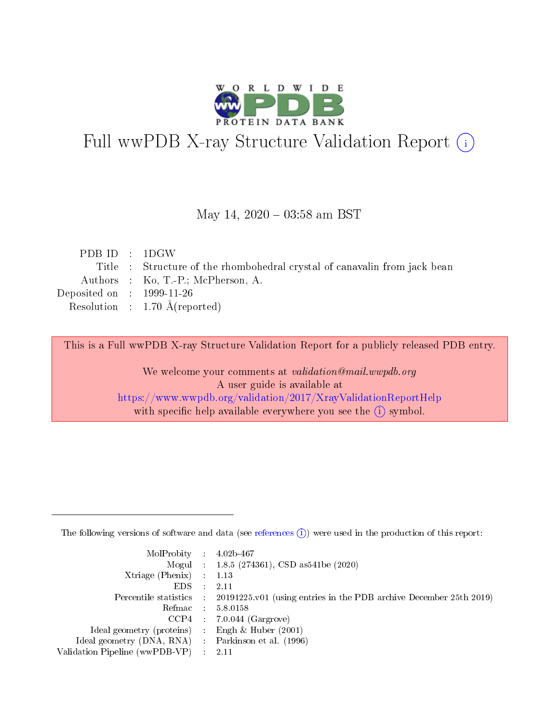

# Full wwPDB X-ray Structure Validation Report (i)

#### May 14,  $2020 - 03:58$  am BST

| PDBID : 1DGW                |                                                                           |
|-----------------------------|---------------------------------------------------------------------------|
|                             | Title : Structure of the rhombohedral crystal of canavalin from jack bean |
|                             | Authors : Ko, T.-P.; McPherson, A.                                        |
| Deposited on : $1999-11-26$ |                                                                           |
|                             | Resolution : 1.70 $\AA$ (reported)                                        |
|                             |                                                                           |

This is a Full wwPDB X-ray Structure Validation Report for a publicly released PDB entry.

We welcome your comments at validation@mail.wwpdb.org A user guide is available at <https://www.wwpdb.org/validation/2017/XrayValidationReportHelp> with specific help available everywhere you see the  $(i)$  symbol.

The following versions of software and data (see [references](https://www.wwpdb.org/validation/2017/XrayValidationReportHelp#references)  $(1)$ ) were used in the production of this report:

| $MolProbability$ : 4.02b-467                        |                                                                                            |
|-----------------------------------------------------|--------------------------------------------------------------------------------------------|
|                                                     | Mogul : $1.8.5$ (274361), CSD as 541be (2020)                                              |
| Xtriage (Phenix) $: 1.13$                           |                                                                                            |
| EDS                                                 | -2.11                                                                                      |
|                                                     | Percentile statistics : 20191225.v01 (using entries in the PDB archive December 25th 2019) |
| Refmac 58.0158                                      |                                                                                            |
|                                                     | $CCP4$ 7.0.044 (Gargrove)                                                                  |
| Ideal geometry (proteins) : Engh $\&$ Huber (2001)  |                                                                                            |
| Ideal geometry (DNA, RNA) : Parkinson et al. (1996) |                                                                                            |
| Validation Pipeline (wwPDB-VP) : 2.11               |                                                                                            |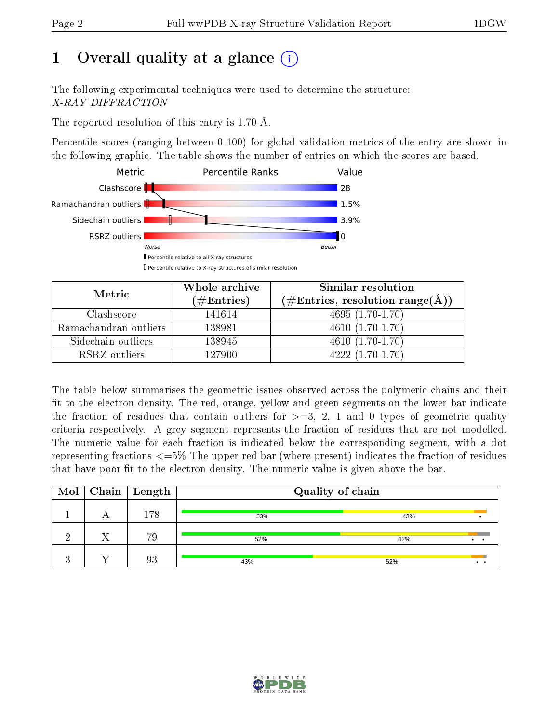## 1 [O](https://www.wwpdb.org/validation/2017/XrayValidationReportHelp#overall_quality)verall quality at a glance  $(i)$

The following experimental techniques were used to determine the structure: X-RAY DIFFRACTION

The reported resolution of this entry is 1.70 Å.

Percentile scores (ranging between 0-100) for global validation metrics of the entry are shown in the following graphic. The table shows the number of entries on which the scores are based.



| Metric                | Whole archive       | Similar resolution                                         |
|-----------------------|---------------------|------------------------------------------------------------|
|                       | (# $\rm{Entries}$ ) | $(\# \text{Entries}, \text{resolution range}(\text{\AA}))$ |
| Clashscore            | 141614              | $4695(1.70-1.70)$                                          |
| Ramachandran outliers | 138981              | $4610(1.70-1.70)$                                          |
| Sidechain outliers    | 138945              | $4610(1.70-1.70)$                                          |
| RSRZ outliers         | 127900              | $4222(1.70-1.70)$                                          |

The table below summarises the geometric issues observed across the polymeric chains and their fit to the electron density. The red, orange, yellow and green segments on the lower bar indicate the fraction of residues that contain outliers for  $\geq=3$ , 2, 1 and 0 types of geometric quality criteria respectively. A grey segment represents the fraction of residues that are not modelled. The numeric value for each fraction is indicated below the corresponding segment, with a dot representing fractions  $\epsilon = 5\%$  The upper red bar (where present) indicates the fraction of residues that have poor fit to the electron density. The numeric value is given above the bar.

| Mol |   | $\sqrt{\frac{1}{1}}$ Chain   Length | Quality of chain |     |  |
|-----|---|-------------------------------------|------------------|-----|--|
|     | A | 178                                 | 53%              | 43% |  |
| റ   |   | 79                                  | 52%              | 42% |  |
|     |   | 93                                  | 43%              | 52% |  |

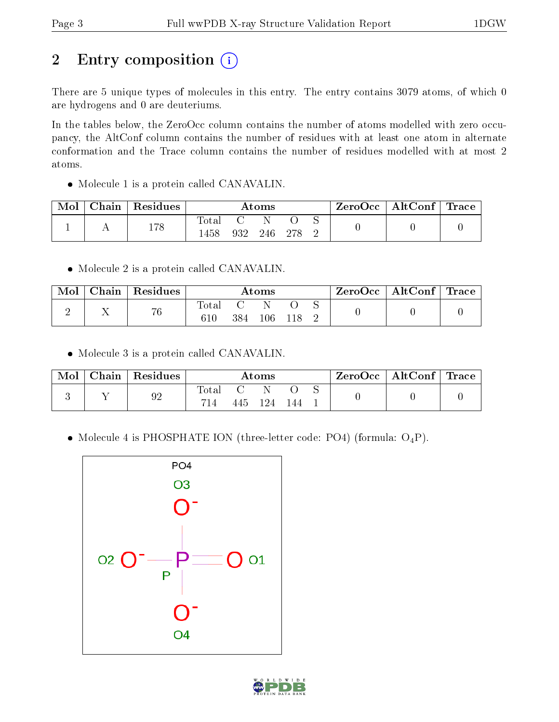# 2 Entry composition (i)

There are 5 unique types of molecules in this entry. The entry contains 3079 atoms, of which 0 are hydrogens and 0 are deuteriums.

In the tables below, the ZeroOcc column contains the number of atoms modelled with zero occupancy, the AltConf column contains the number of residues with at least one atom in alternate conformation and the Trace column contains the number of residues modelled with at most 2 atoms.

• Molecule 1 is a protein called CANAVALIN.

| Mol | ${\rm Chain}$ | Residues |                          |     | $\rm{Atoms}$ |     |  | ZeroOcc   AltConf   Trace |  |
|-----|---------------|----------|--------------------------|-----|--------------|-----|--|---------------------------|--|
|     |               | 178      | $\mathrm{Total}$<br>.458 | 932 | 246          | 278 |  |                           |  |

• Molecule 2 is a protein called CANAVALIN.

| Mol | ${\rm Chain} \mid$ | Residues |              |     | Atoms   |  | ZeroOcc   AltConf   Trace |  |
|-----|--------------------|----------|--------------|-----|---------|--|---------------------------|--|
|     |                    | 76       | Totar<br>610 | 384 | $106\,$ |  |                           |  |

• Molecule 3 is a protein called CANAVALIN.

| Mol | Chain Residues |              |         | $\bm{\mathrm{Atoms}}$ |     |  | ZeroOcc   AltConf   Trace |  |
|-----|----------------|--------------|---------|-----------------------|-----|--|---------------------------|--|
|     | 92             | Total<br>714 | 445 124 |                       | 144 |  |                           |  |

• Molecule 4 is PHOSPHATE ION (three-letter code: PO4) (formula:  $O_4P$ ).



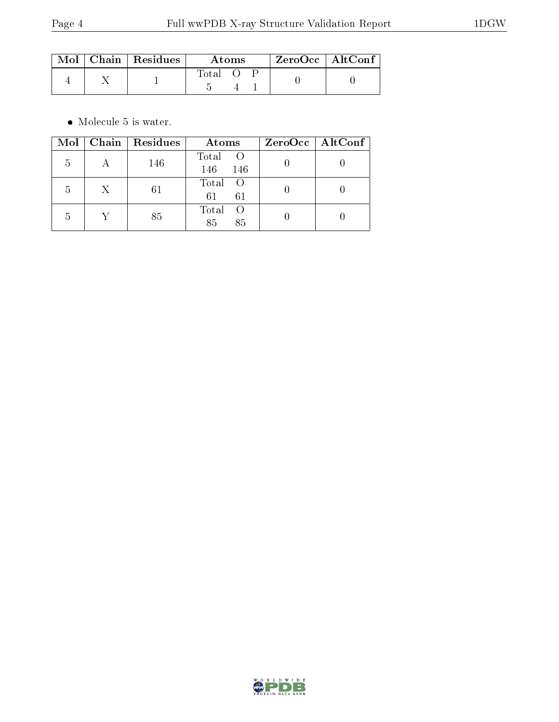|  | $\text{Mol}$   Chain   Residues | Atoms |  |  | $ZeroOcc \   \ AltConf$ |
|--|---------------------------------|-------|--|--|-------------------------|
|  |                                 | Total |  |  |                         |

 $\bullet\,$  Molecule 5 is water.

| Mol | Chain   Residues | Atoms                                 | ZeroOcc   AltConf |
|-----|------------------|---------------------------------------|-------------------|
| 5   | 146              | Total<br>$\overline{O}$<br>146<br>146 |                   |
| 5   | 61               | Total<br>$\circ$ O<br>61<br>61        |                   |
| 5   | 85               | Total<br>- ( )<br>85<br>85            |                   |

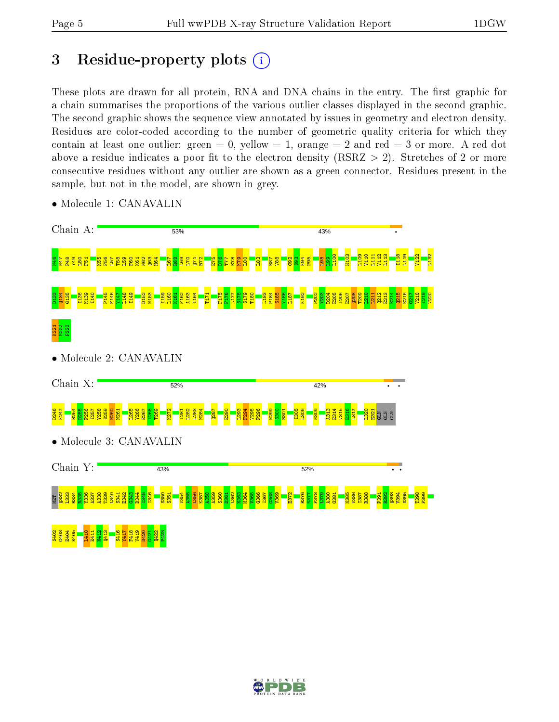## 3 Residue-property plots  $(i)$

These plots are drawn for all protein, RNA and DNA chains in the entry. The first graphic for a chain summarises the proportions of the various outlier classes displayed in the second graphic. The second graphic shows the sequence view annotated by issues in geometry and electron density. Residues are color-coded according to the number of geometric quality criteria for which they contain at least one outlier: green  $= 0$ , yellow  $= 1$ , orange  $= 2$  and red  $= 3$  or more. A red dot above a residue indicates a poor fit to the electron density (RSRZ  $> 2$ ). Stretches of 2 or more consecutive residues without any outlier are shown as a green connector. Residues present in the sample, but not in the model, are shown in grey.



• Molecule 1: CANAVALIN

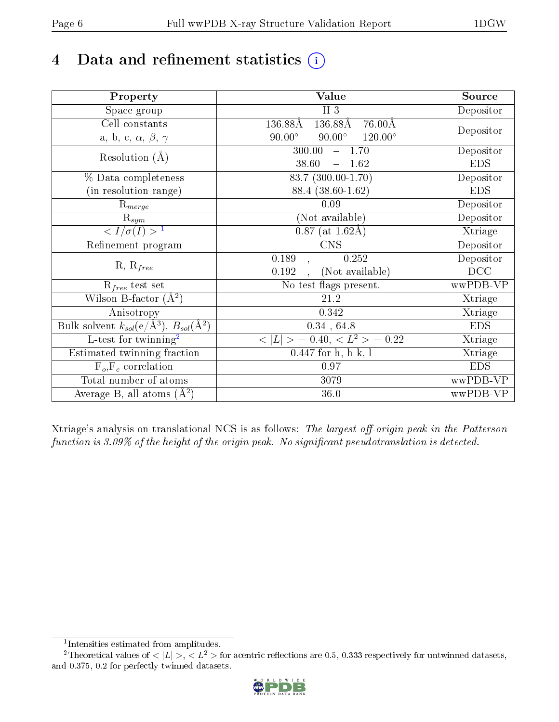## 4 Data and refinement statistics  $(i)$

| Property                                                   | <b>Value</b>                                                  | Source     |
|------------------------------------------------------------|---------------------------------------------------------------|------------|
| Space group                                                | $H_3$                                                         | Depositor  |
| Cell constants                                             | $136.88\text{\AA}$<br>$136.88\text{\AA}$<br>$76.00\text{\AA}$ |            |
| a, b, c, $\alpha$ , $\beta$ , $\gamma$                     | $90.00^\circ$<br>$90.00^\circ$<br>$120.00^{\circ}$            | Depositor  |
| Resolution $(A)$                                           | 300.00<br>$-1.70$                                             | Depositor  |
|                                                            | 38.60<br>$-1.62$                                              | <b>EDS</b> |
| % Data completeness                                        | 83.7 (300.00-1.70)                                            | Depositor  |
| (in resolution range)                                      | 88.4 (38.60-1.62)                                             | <b>EDS</b> |
| $R_{merge}$                                                | 0.09                                                          | Depositor  |
| $\mathrm{R}_{sym}$                                         | (Not available)                                               | Depositor  |
| $\sqrt{I/\sigma}(I) > 1$                                   | $0.87$ (at 1.62Å)                                             | Xtriage    |
| Refinement program                                         | <b>CNS</b>                                                    | Depositor  |
|                                                            | 0.189<br>0.252                                                | Depositor  |
| $R, R_{free}$                                              | 0.192<br>(Not available)                                      | DCC        |
| $R_{free}$ test set                                        | No test flags present.                                        | wwPDB-VP   |
| Wilson B-factor $(A^2)$                                    | 21.2                                                          | Xtriage    |
| Anisotropy                                                 | 0.342                                                         | Xtriage    |
| Bulk solvent $k_{sol}$ (e/Å <sup>3</sup> ), $B_{sol}(A^2)$ | 0.34, 64.8                                                    | <b>EDS</b> |
| $\overline{\text{L-test}$ for twinning <sup>2</sup>        | $< L >$ = 0.40, $< L2$ > = 0.22                               | Xtriage    |
| Estimated twinning fraction                                | $0.447$ for h,-h-k,-l                                         | Xtriage    |
| $F_o, F_c$ correlation                                     | 0.97                                                          | <b>EDS</b> |
| Total number of atoms                                      | 3079                                                          | wwPDB-VP   |
| Average B, all atoms $(A^2)$                               | 36.0                                                          | wwPDB-VP   |

Xtriage's analysis on translational NCS is as follows: The largest off-origin peak in the Patterson function is  $3.09\%$  of the height of the origin peak. No significant pseudotranslation is detected.

<sup>&</sup>lt;sup>2</sup>Theoretical values of  $\langle |L| \rangle$ ,  $\langle L^2 \rangle$  for acentric reflections are 0.5, 0.333 respectively for untwinned datasets, and 0.375, 0.2 for perfectly twinned datasets.



<span id="page-5-1"></span><span id="page-5-0"></span><sup>1</sup> Intensities estimated from amplitudes.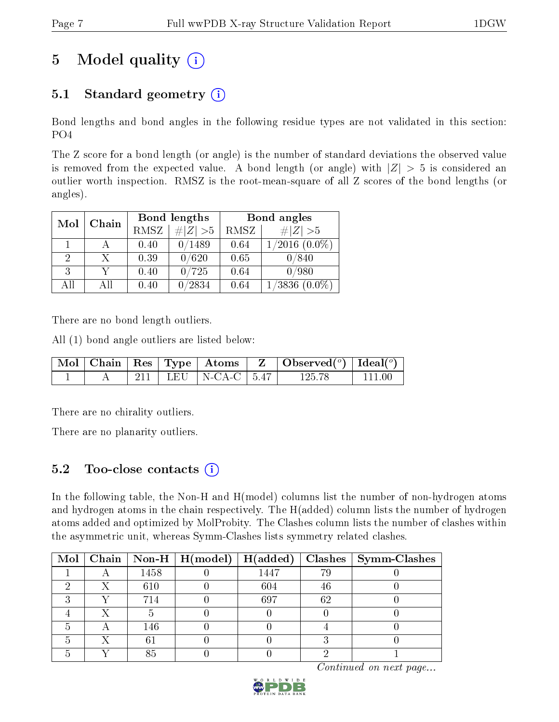## 5 Model quality  $(i)$

### 5.1 Standard geometry  $(i)$

Bond lengths and bond angles in the following residue types are not validated in this section: PO4

The Z score for a bond length (or angle) is the number of standard deviations the observed value is removed from the expected value. A bond length (or angle) with  $|Z| > 5$  is considered an outlier worth inspection. RMSZ is the root-mean-square of all Z scores of the bond lengths (or angles).

| Mol | Chain |             | Bond lengths | Bond angles |                     |  |
|-----|-------|-------------|--------------|-------------|---------------------|--|
|     |       | <b>RMSZ</b> | $\# Z  > 5$  | RMSZ        | # $ Z >5$           |  |
|     |       | 0.40        | 0/1489       | 0.64        | $1/2016$ $(0.0\%)$  |  |
| 2   | X.    | 0.39        | 0/620        | 0.65        | 0/840               |  |
| 3   |       | 0.40        | 0/725        | 0.64        | 0/980               |  |
| AH  | АH    | 0.40        | /2834        | 0.64        | 1/3836<br>$(0.0\%)$ |  |

There are no bond length outliers.

All (1) bond angle outliers are listed below:

|  |  |                           | $\begin{array}{ c c c c c c }\hline \text{Mol} & \text{Chain} & \text{Res} & \text{Type} & \text{Atoms} & \text{Z} & \text{Observed} (^o) & \text{Ideal} (^o) \hline \end{array}$ |           |
|--|--|---------------------------|-----------------------------------------------------------------------------------------------------------------------------------------------------------------------------------|-----------|
|  |  | 211   LEU   N-CA-C   5.47 | 125.78                                                                                                                                                                            | $-111.00$ |

There are no chirality outliers.

There are no planarity outliers.

#### 5.2 Too-close contacts  $\overline{a}$

In the following table, the Non-H and H(model) columns list the number of non-hydrogen atoms and hydrogen atoms in the chain respectively. The H(added) column lists the number of hydrogen atoms added and optimized by MolProbity. The Clashes column lists the number of clashes within the asymmetric unit, whereas Symm-Clashes lists symmetry related clashes.

|  |      | Mol   Chain   Non-H   H(model)   H(added) |      |    | $Clashes$   Symm-Clashes |
|--|------|-------------------------------------------|------|----|--------------------------|
|  | 1458 |                                           | 1447 | 79 |                          |
|  | 610  |                                           | 604  | 46 |                          |
|  | 714  |                                           | 697  | 62 |                          |
|  |      |                                           |      |    |                          |
|  | 146  |                                           |      |    |                          |
|  |      |                                           |      |    |                          |
|  | 85   |                                           |      |    |                          |

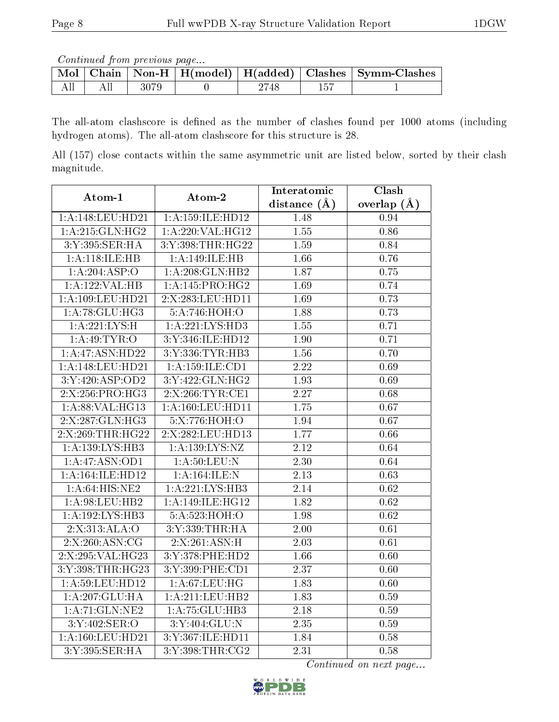Continued from previous page...

|  |      |      | Mol   Chain   Non-H   H(model)   H(added)   Clashes   Symm-Clashes |
|--|------|------|--------------------------------------------------------------------|
|  | 3079 | 2748 |                                                                    |

The all-atom clashscore is defined as the number of clashes found per 1000 atoms (including hydrogen atoms). The all-atom clashscore for this structure is 28.

All (157) close contacts within the same asymmetric unit are listed below, sorted by their clash magnitude.

| Atom-1              | Atom-2                     | Interatomic       | Clash             |
|---------------------|----------------------------|-------------------|-------------------|
|                     |                            | distance $(A)$    | overlap $(A)$     |
| 1:A:148:LEU:HD21    | 1:A:159:ILE:HD12           | 1.48              | 0.94              |
| 1:A:215:GLN:HG2     | 1:A:220:VAL:HG12           | 1.55              | 0.86              |
| 3:Y:395:SER:HA      | 3:Y:398:THR:HG22           | 1.59              | 0.84              |
| 1:A:118:ILE:HB      | 1:A:149:ILE:HB             | 1.66              | 0.76              |
| 1:A:204:ASP:O       | 1:A:208:GLN:HB2            | 1.87              | 0.75              |
| 1:A:122:VAL:H B     | 1:A:145:PRO:HG2            | 1.69              | 0.74              |
| 1:A:109:LEU:HD21    | 2:X:283:LEU:HD11           | 1.69              | 0.73              |
| 1:A:78:GLU:HG3      | 5:A:746:HOH:O              | 1.88              | 0.73              |
| 1: A:221:LYS:H      | 1:A:221:LYS:HD3            | 1.55              | 0.71              |
| 1:A:49:TYR:O        | 3:Y:346:ILE:HD12           | 1.90              | 0.71              |
| 1:A:47:ASN:HD22     | 3:Y:336:TYR:HB3            | $1.\overline{56}$ | 0.70              |
| 1:A:148:LEU:HD21    | 1: A: 159: ILE: CD1        | 2.22              | 0.69              |
| 3:Y:420:ASP:OD2     | 3:Y:422:GLN:HG2            | 1.93              | 0.69              |
| 2:X:256:PRO:HG3     | 2:X:266:TYR:CE1            | 2.27              | 0.68              |
| 1: A:88: VAL:HG13   | 1: A: 160: LEU: HD11       | 1.75              | 0.67              |
| 2:X:287:GLN:HG3     | 5:X:776:HOH:O              | 1.94              | 0.67              |
| 2:X:269:THR:HG22    | 2:X:282:LEU:HD13           | 1.77              | 0.66              |
| 1:A:139:LYS:HB3     | 1: A: 139: LYS: NZ         | 2.12              | 0.64              |
| 1:A:47:ASN:OD1      | 1: A:50:LEU:N              | 2.30              | 0.64              |
| 1: A:164: ILE: HD12 | 1:A:164:ILE:N              | $\overline{2.13}$ | 0.63              |
| 1: A:64: HIS: NE2   | 1: A:221:LYS:HB3           | 2.14              | 0.62              |
| 1: A:98: LEU: HB2   | 1:A:149:ILE:HG12           | 1.82              | 0.62              |
| 1: A:192: LYS: HB3  | $5:A:523:\overline{HOH:O}$ | 1.98              | $\overline{0.62}$ |
| 2:X:313:ALA:O       | 3:Y:339:THR:HA             | 2.00              | 0.61              |
| 2:X:260:ASN:CG      | 2:X:261:ASN:H              | 2.03              | 0.61              |
| 2:X:295:VAL:HG23    | 3:Y:378:PHE:HD2            | 1.66              | 0.60              |
| 3:Y:398:THR:HG23    | 3:Y:399:PHE:CD1            | 2.37              | 0.60              |
| 1:A:59:LEU:HD12     | 1: A:67:LEU:HG             | 1.83              | 0.60              |
| 1:A:207:GLU:HA      | 1:A:211:LEU:HB2            | 1.83              | 0.59              |
| 1: A:71: GLN:NE2    | 1:A:75:GLU:HB3             | 2.18              | 0.59              |
| 3:Y:402:SER:O       | 3:Y:404:GLU:N              | 2.35              | 0.59              |
| 1:A:160:LEU:HD21    | 3:Y:367:ILE:HD11           | 1.84              | 0.58              |
| 3:Y:395:SER:HA      | 3:Y:398:THR:CG2            | 2.31              | 0.58              |

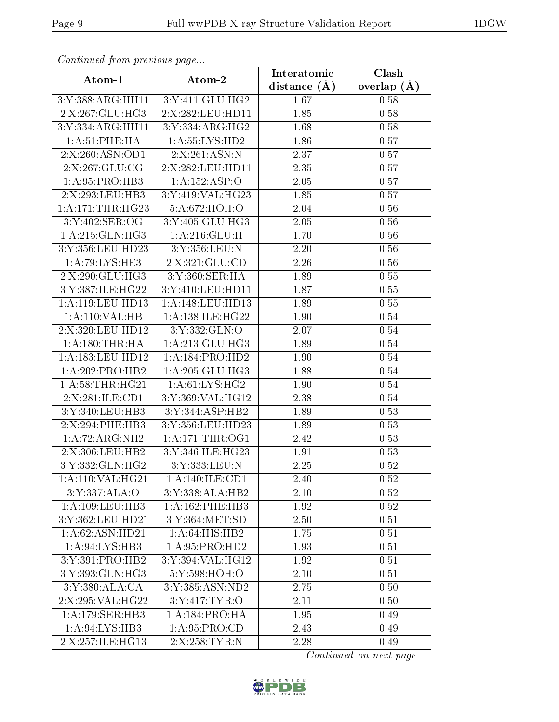| Continuatu jibin previous puge |                            | Interatomic    | Clash           |
|--------------------------------|----------------------------|----------------|-----------------|
| Atom-1                         | Atom-2                     | distance $(A)$ | overlap $(\AA)$ |
| 3:Y:388:ARG:HH11               | 3:Y:411:GLU:HG2            | 1.67           | 0.58            |
| 2:X:267:GLU:HG3                | 2:X:282:LEU:HD11           | 1.85           | 0.58            |
| 3:Y:334:ARG:HH11               | 3:Y:334:ARG:HG2            | 1.68           | 0.58            |
| 1: A:51:PHE:HA                 | 1: A: 55: LYS: HD2         | 1.86           | 0.57            |
| 2:X:260:ASN:OD1                | 2:X:261:ASN:N              | 2.37           | 0.57            |
| 2:X:267:GLU:CG                 | 2:X:282:LEU:HD11           | 2.35           | 0.57            |
| 1:A:95:PRO:HB3                 | 1:A:152:ASP:O              | 2.05           | 0.57            |
| 2:X:293:LEU:HB3                | 3:Y:419:VAL:HG23           | 1.85           | 0.57            |
| 1: A:171:THR:HG23              | $5:A:672:\overline{HOH:O}$ | 2.04           | 0.56            |
| 3:Y:402:SER:OG                 | 3:Y:405:GLU:HG3            | 2.05           | 0.56            |
| 1: A:215: GLN: HG3             | 1: A:216: GLU: H           | 1.70           | 0.56            |
| 3:Y:356:LEU:HD23               | 3:Y:356:LEU:N              | 2.20           | 0.56            |
| $1:A:79:LY\overline{S:HE3}$    | 2:X:321:GLU:CD             | 2.26           | 0.56            |
| 2:X:290:GLU:HG3                | 3:Y:360:SER:HA             | 1.89           | 0.55            |
| 3:Y:387:ILE:HG22               | 3:Y:410:LEU:HD11           | 1.87           | 0.55            |
| 1: A:119: LEU: HD13            | 1: A:148:LEU:HD13          | 1.89           | 0.55            |
| 1:A:110:VAL:H B                | 1:A:138:ILE:HG22           | 1.90           | 0.54            |
| 2:X:320:LEU:HD12               | 3:Y:332:GLN:O              | 2.07           | 0.54            |
| 1: A:180:THR:HA                | 1:A:213:GLU:HG3            | 1.89           | 0.54            |
| 1:A:183:LEU:HD12               | 1:A:184:PRO:HD2            | 1.90           | 0.54            |
| 1:A:202:PRO:HB2                | 1:A:205:GLU:HG3            | 1.88           | 0.54            |
| 1: A:58:THR:HG21               | 1: A:61:LYS:HG2            | 1.90           | 0.54            |
| 2:X:281:ILE:CD1                | 3:Y:369:VAL:HG12           | 2.38           | 0.54            |
| 3:Y:340:LEU:HB3                | 3:Y:344:ASP:HB2            | 1.89           | 0.53            |
| 2:X:294:PHE:HB3                | 3:Y:356:LEU:HD23           | 1.89           | 0.53            |
| 1: A:72: ARG: NH2              | 1: A:171:THR:OG1           | 2.42           | 0.53            |
| 2:X:306:LEU:HB2                | 3:Y:346:ILE:HG23           | 1.91           | 0.53            |
| 3:Y:332:GLN:HG2                | 3:Y:333:LEU:N              | 2.25           | 0.52            |
| 1:A:110:VAL:HG21               | 1:A:140:ILE:CD1            | 2.40           | 0.52            |
| 3:Y:337:ALA:O                  | 3:Y:338:ALA:HB2            | 2.10           | 0.52            |
| $1: A: 109: \text{LEU:HB3}$    | 1:A:162:PHE:HB3            | 1.92           | 0.52            |
| 3:Y:362:LEU:HD21               | 3:Y:364:MET:SD             | 2.50           | 0.51            |
| 1: A:62: ASN:HD21              | 1: A:64: HIS: HB2          | 1.75           | 0.51            |
| 1: A:94: LYS: HB3              | 1:A:95:PRO:HD2             | 1.93           | 0.51            |
| 3:Y:391:PRO:HB2                | 3:Y:394:VAL:HG12           | 1.92           | 0.51            |
| 3:Y:393:GLN:HG3                | 5:Y:598:HOH:O              | 2.10           | 0.51            |
| 3:Y:380:ALA:CA                 | 3:Y:385:ASN:ND2            | 2.75           | 0.50            |
| 2:X:295:VAL:HG22               | 3:Y:417:TYR:O              | 2.11           | 0.50            |
| 1:A:179:SER:HB3                | 1:A:184:PRO:HA             | 1.95           | 0.49            |
| 1:A:94:LYS:HB3                 | 1: A:95: PRO:CD            | 2.43           | 0.49            |
| 2:X:257:ILE:HG13               | 2:X:258:TYR:N              | 2.28           | 0.49            |

Continued from previous page.

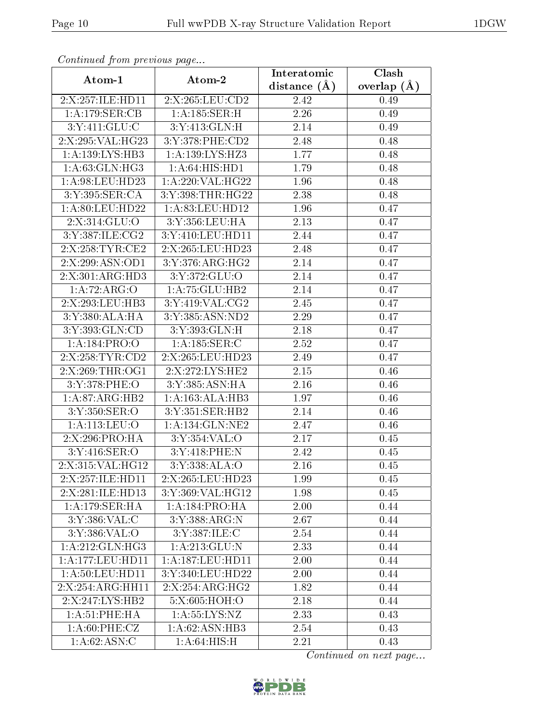| Commaca jibin previous page               |                      | Interatomic    | Clash           |  |
|-------------------------------------------|----------------------|----------------|-----------------|--|
| Atom-1                                    | Atom-2               | distance $(A)$ | overlap $(\AA)$ |  |
| 2:X:257:ILE:HD11                          | 2:X:265:LEU:CD2      | 2.42           | 0.49            |  |
| 1:A:179:SER:CB                            | 1:A:185:SER:H        | 2.26           | 0.49            |  |
| 3:Y:411:GLU:C                             | 3:Y:413:GLN:H        | 2.14           | 0.49            |  |
| 2:X:295:VAL:HG23                          | 3:Y:378:PHE:CD2      | 2.48           | 0.48            |  |
| 1: A: 139: LYS: HB3                       | 1:A:139:LYS:HZ3      | 1.77           | 0.48            |  |
| 1: A:63: GLN: HG3                         | 1:A:64:HIS:HD1       | 1.79           | 0.48            |  |
| 1: A:98: LEU: HD23                        | 1:A:220:VAL:HG22     | 1.96           | 0.48            |  |
| 3:Y:395:SER:CA                            | 3:Y:398:THR:HG22     | 2.38           | 0.48            |  |
| 1: A:80: LEU:HD22                         | 1: A:83: LEU: HD12   | 1.96           | 0.47            |  |
| 2:X:314:GLU:O                             | 3:Y:356:LEU:HA       | 2.13           | 0.47            |  |
| 3:Y:387:ILE:CG2                           | 3:Y:410:LEU:HD11     | 2.44           | 0.47            |  |
| 2:X:258:TYR:CE2                           | 2:X:265:LEU:HD23     | 2.48           | 0.47            |  |
| 2:X:299:ASN:OD1                           | 3:Y:376:ARG:HG2      | 2.14           | 0.47            |  |
| 2:X:301:ARG:HD3                           | 3:Y:372:GLU:O        | 2.14           | 0.47            |  |
| 1:A:72:ARG:O                              | 1:A:75:GLU:HB2       | 2.14           | 0.47            |  |
| 2:X:293:LEU:HB3                           | 3:Y:419:VAL:CG2      | 2.45           | 0.47            |  |
| 3:Y:380:ALA:HA                            | 3:Y:385:ASN:ND2      | 2.29           | 0.47            |  |
| 3:Y:393:GLN:CD                            | 3:Y:393:GLN:H        | 2.18           | 0.47            |  |
| 1:A:184:PRO:O                             | 1:A:185:SER:C        | 2.52           | 0.47            |  |
| 2:X:258:TYR:CD2                           | 2:X:265:LEU:HD23     | 2.49           | 0.47            |  |
| 2:X:269:THR:OG1                           | 2:X:272:LYS:HE2      | 2.15           | 0.46            |  |
| 3:Y:378:PHE:O                             | 3:Y:385:ASN:HA       | 2.16           | 0.46            |  |
| 1:A:87:ARG:HB2                            | 1:A:163:ALA:HB3      | 1.97           | 0.46            |  |
| 3:Y:350:SER:O                             | 3:Y:351:SER:HB2      | 2.14           | 0.46            |  |
| 1: A:113: LEU:O                           | 1: A: 134: GLN: NE2  | 2.47           | 0.46            |  |
| 2:X:296:PRO:HA                            | 3:Y:354:VAL:O        | 2.17           | 0.45            |  |
| 3:Y:416:SER:O                             | 3:Y:418:PHE:N        | 2.42           | 0.45            |  |
| 2:X:315:VAL:HG12                          | 3:Y:338:ALA:O        | 2.16           | 0.45            |  |
| 2:X:257:ILE:HD11                          | 2:X:265:LEU:HD23     | 1.99           | 0.45            |  |
| 2:X:281:ILE:HD13                          | 3:Y:369:VAL:HG12     | 1.98           | 0.45            |  |
| $1:A:179:\overline{\text{SER:H}\text{A}}$ | 1:A:184:PRO:HA       | 2.00           | 0.44            |  |
| 3:Y:386:VAL:C                             | 3:Y:388:ARG:N        | 2.67           | 0.44            |  |
| 3:Y:386:VAL:O                             | 3:Y:387:ILE:C        | 2.54           | 0.44            |  |
| 1:A:212:GLN:HG3                           | 1:A:213:GLU:N        | 2.33           | 0.44            |  |
| 1: A:177:LEU:HD11                         | 1: A: 187: LEU: HD11 | 2.00           | 0.44            |  |
| $1:A:\overline{50:LEU:HDI1}$              | 3:Y:340:LEU:HD22     | 2.00           | 0.44            |  |
| 2:X:254:ARG:HH11                          | 2:X:254:ARG:HG2      | 1.82           | 0.44            |  |
| 2:X:247:LYS:HB2                           | 5:X:605:HOH:O        | 2.18           | 0.44            |  |
| 1: A:51:PHE:HA                            | 1: A: 55: LYS: NZ    | 2.33           | 0.43            |  |
| 1: A:60:PHE:CZ                            | 1:A:62:ASN:HB3       | 2.54           | 0.43            |  |
| 1: A:62: ASN: C                           | 1: A:64: HIS:H       | 2.21           | 0.43            |  |

Continued from previous page.

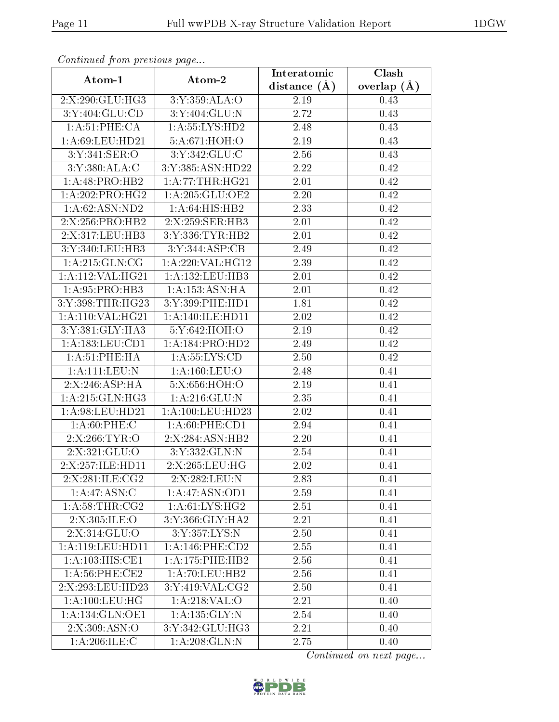| Commaca jibin previous page |                        | Interatomic    | Clash         |
|-----------------------------|------------------------|----------------|---------------|
| Atom-1                      | Atom-2                 | distance $(A)$ | overlap $(A)$ |
| 2:X:290:GLU:HG3             | 3:Y:359:ALA:O          | 2.19           | 0.43          |
| 3:Y:404:GLU:CD              | 3:Y:404:GLU:N          | 2.72           | 0.43          |
| 1: A:51:PHE:CA              | 1: A: 55: LYS: HD2     | 2.48           | 0.43          |
| 1: A:69: LEU: HD21          | 5:A:671:HOH:O          | 2.19           | 0.43          |
| 3:Y:341:SER:O               | 3:Y:342:GLU:C          | 2.56           | 0.43          |
| 3:Y:380:ALA:C               | 3:Y:385:ASN:HD22       | 2.22           | 0.42          |
| 1:A:48:PRO:HB2              | 1: A:77:THR:HG21       | 2.01           | 0.42          |
| 1: A:202:PRO:HG2            | 1: A:205: GLU:OE2      | 2.20           | 0.42          |
| 1: A:62: ASN:ND2            | 1:A:64:HTS:HB2         | 2.33           | 0.42          |
| 2:X:256:PRO:HB2             | 2:X:259:SER:HB3        | 2.01           | 0.42          |
| 2:X:317:LEU:HB3             | 3:Y:336:TYR:HB2        | 2.01           | 0.42          |
| 3:Y:340:LEU:HB3             | 3:Y:344:ASP:CB         | 2.49           | 0.42          |
| 1: A:215: GLN:CG            | 1:A:220:VAL:HG12       | 2.39           | 0.42          |
| 1: A:112: VAL:HG21          | 1:A:132:LEU:HB3        | 2.01           | 0.42          |
| 1:A:95:PRO:HB3              | 1:A:153:ASN:HA         | 2.01           | 0.42          |
| 3:Y:398:THR:HG23            | 3:Y:399:PHE:HD1        | 1.81           | 0.42          |
| 1:A:110:VAL:HG21            | 1: A:140: ILE: HD11    | 2.02           | 0.42          |
| 3:Y:381:GLY:HA3             | 5:Y:642:HOH:O          | 2.19           | 0.42          |
| 1:A:183:LEU:CD1             | 1:A:184:PRO:HD2        | 2.49           | 0.42          |
| 1: A:51:PHE:HA              | 1: A: 55: LYS: CD      | 2.50           | 0.42          |
| 1:A:111:LEU:N               | 1: A: 160: LEU: O      | 2.48           | 0.41          |
| 2:X:246:ASP:HA              | 5:X:656:HOH:O          | 2.19           | 0.41          |
| 1:A:215:GLN:HG3             | 1: A:216: GLU:N        | 2.35           | 0.41          |
| 1: A:98: LEU: HD21          | 1: A: 100: LEU: HD23   | 2.02           | 0.41          |
| 1: A:60:PHE: C              | 1: A:60: PHE:CD1       | 2.94           | 0.41          |
| 2:X:266:TYR:O               | 2:X:284:ASN:HB2        | 2.20           | 0.41          |
| 2:X:321:GLU:O               | 3:Y:332:GLN:N          | 2.54           | 0.41          |
| 2:X:257:ILE:HD11            | 2:X:265:LEU:HG         | 2.02           | 0.41          |
| 2:X:281:ILE:CG2             | 2:X:282:LEU:N          | 2.83           | 0.41          |
| 1:A:47:ASN:C                | 1:A:47:ASN:OD1         | 2.59           | 0.41          |
| 1: A:58:THR:CG2             | 1: A:61:LYS:HG2        | 2.51           | 0.41          |
| 2:X:305:ILE:O               | 3:Y:366:GLY:HA2        | 2.21           | 0.41          |
| 2:X:314:GLU:O               | 3:Y:357:LYS:N          | 2.50           | 0.41          |
| 1:A:119:LEU:HD11            | $1: A:146:$ PHE: $CD2$ | 2.55           | 0.41          |
| 1:A:103:HIS:CE1             | 1:A:175:PHE:HB2        | 2.56           | 0.41          |
| $1: A:56:$ PHE:CE2          | 1: A:70: LEU: HB2      | 2.56           | 0.41          |
| 2:X:293:LEU:HD23            | 3:Y:419:VAL:CG2        | 2.50           | 0.41          |
| 1: A: 100: LEU: HG          | 1:A:218:VAL:O          | 2.21           | 0.40          |
| 1: A: 134: GLN: OE1         | 1:A:135:GLY:N          | 2.54           | 0.40          |
| 2:X:309:ASN:O               | 3:Y:342:GLU:HG3        | 2.21           | 0.40          |
| 1: A:206: ILE:C             | 1: A:208: GLN:N        | 2.75           | 0.40          |

Continued from previous page.

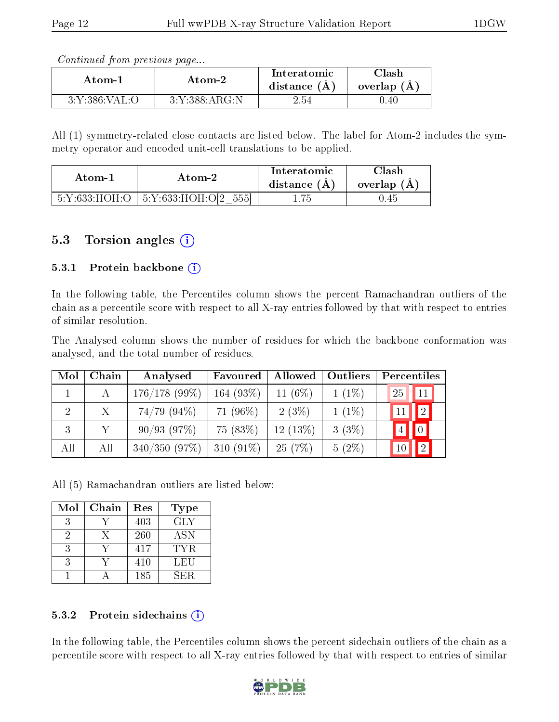Continued from previous page...

| Atom-1        | Atom-2        |      | $\gamma$ lash<br>overlap (A |
|---------------|---------------|------|-----------------------------|
| 3:Y:386:VAL:O | 3:Y:388:ARG:N | 2.54 | 0.40                        |

All (1) symmetry-related close contacts are listed below. The label for Atom-2 includes the symmetry operator and encoded unit-cell translations to be applied.

| Atom-2 |                                          | Interatomic    | Clash         |
|--------|------------------------------------------|----------------|---------------|
| Atom-1 |                                          | distance $(A)$ | overlap $(A)$ |
|        | $5:Y:633:HOH:O$   $5:Y:633:HOH:O[2 555]$ | . .75          | (J.45         |

#### 5.3 Torsion angles  $(i)$

#### 5.3.1 Protein backbone  $(i)$

In the following table, the Percentiles column shows the percent Ramachandran outliers of the chain as a percentile score with respect to all X-ray entries followed by that with respect to entries of similar resolution.

The Analysed column shows the number of residues for which the backbone conformation was analysed, and the total number of residues.

| Mol            | Chain | Analysed         | Favoured     | Allowed    | Outliers | Percentiles       |
|----------------|-------|------------------|--------------|------------|----------|-------------------|
|                |       | $176/178$ (99%)  | 164 (93%)    | 11 $(6\%)$ | $1(1\%)$ | $\vert$ 11<br>25  |
| $\overline{2}$ | X     | $74/79$ $(94\%)$ | 71 (96%)     | 2(3%)      | $1(1\%)$ | $\boxed{2}$       |
| 3              |       | 90/93(97%)       | 75 (83%)     | $12(13\%)$ | $3(3\%)$ | $\boxed{0}$       |
| All            | All   | 340/350(97%)     | 310 $(91\%)$ | 25(7%)     | $5(2\%)$ | $\boxed{2}$<br>10 |

All (5) Ramachandran outliers are listed below:

| Mol | Chain | Res | Type       |
|-----|-------|-----|------------|
| 3   |       | 403 | <b>GLY</b> |
|     | X     | 260 | <b>ASN</b> |
|     |       | 417 | TYR.       |
|     |       | 410 | LEU        |
|     |       | 185 | SER.       |

#### 5.3.2 Protein sidechains  $(i)$

In the following table, the Percentiles column shows the percent sidechain outliers of the chain as a percentile score with respect to all X-ray entries followed by that with respect to entries of similar

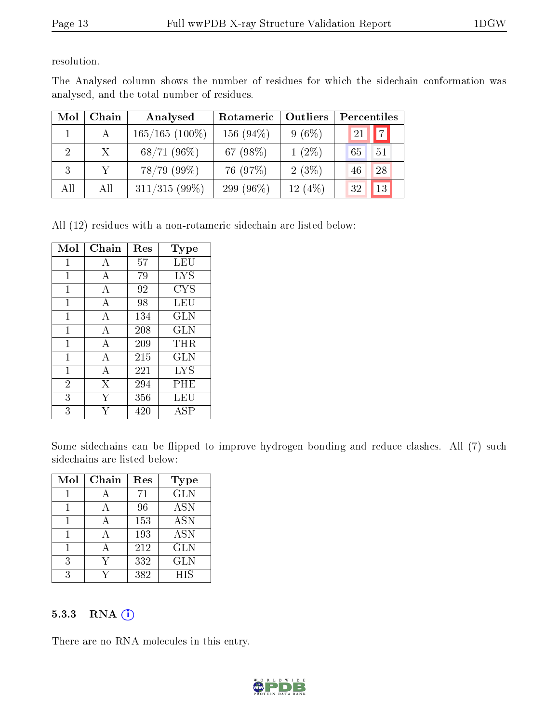resolution.

The Analysed column shows the number of residues for which the sidechain conformation was analysed, and the total number of residues.

| Mol                         | Chain | Analysed          | Rotameric | Outliers   | Percentiles |                |
|-----------------------------|-------|-------------------|-----------|------------|-------------|----------------|
|                             | A     | $165/165$ (100\%) | 156 (94%) | $9(6\%)$   | 21          | $\overline{7}$ |
| $\mathcal{D}_{\mathcal{A}}$ | X     | 68/71(96%)        | 67 (98%)  | $1(2\%)$   | 65          | 51             |
| 3                           |       | $78/79$ (99%)     | 76 (97%)  | 2(3%)      | 46          | 28             |
| All                         | All   | $311/315(99\%)$   | 299 (96%) | 12 $(4\%)$ | 32          | 13             |

All (12) residues with a non-rotameric sidechain are listed below:

| Mol            | Chain          | Res | Type       |
|----------------|----------------|-----|------------|
| 1              | А              | 57  | LEU        |
| 1              | А              | 79  | <b>LYS</b> |
| 1              | А              | 92  | <b>CYS</b> |
| 1              | $\overline{A}$ | 98  | LEU        |
| $\mathbf{1}$   | A              | 134 | <b>GLN</b> |
| 1              | A              | 208 | <b>GLN</b> |
| $\mathbf{1}$   | А              | 209 | THR        |
| $\mathbf{1}$   | А              | 215 | <b>GLN</b> |
| $\mathbf{1}$   | А              | 221 | <b>LYS</b> |
| $\overline{2}$ | X              | 294 | PHE        |
| 3              | Y              | 356 | LEU        |
| 3              |                | 420 | ASP        |

Some sidechains can be flipped to improve hydrogen bonding and reduce clashes. All (7) such sidechains are listed below:

| Mol | Chain | Res | <b>Type</b> |
|-----|-------|-----|-------------|
|     |       | 71  | <b>GLN</b>  |
|     |       | 96  | <b>ASN</b>  |
|     | А     | 153 | <b>ASN</b>  |
|     |       | 193 | <b>ASN</b>  |
|     |       | 212 | <b>GLN</b>  |
| 3   |       | 332 | <b>GLN</b>  |
| २   |       | 382 | <b>HIS</b>  |

#### 5.3.3 RNA (1)

There are no RNA molecules in this entry.

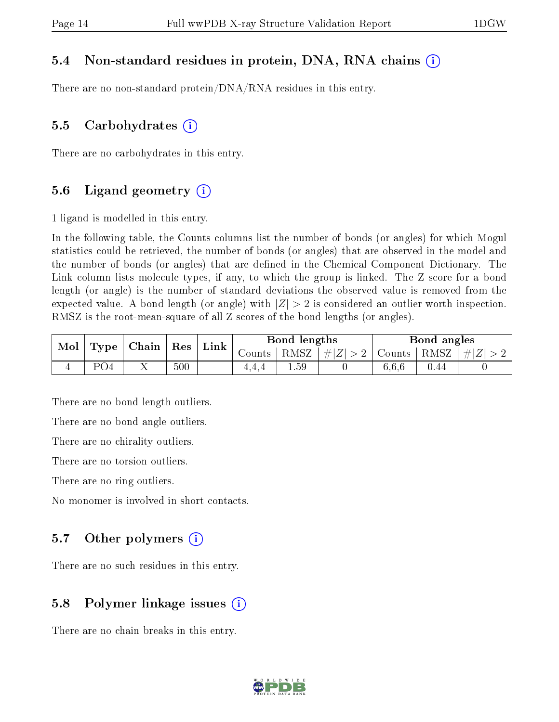#### 5.4 Non-standard residues in protein, DNA, RNA chains (i)

There are no non-standard protein/DNA/RNA residues in this entry.

#### 5.5 Carbohydrates  $(i)$

There are no carbohydrates in this entry.

#### 5.6 Ligand geometry  $(i)$

1 ligand is modelled in this entry.

In the following table, the Counts columns list the number of bonds (or angles) for which Mogul statistics could be retrieved, the number of bonds (or angles) that are observed in the model and the number of bonds (or angles) that are dened in the Chemical Component Dictionary. The Link column lists molecule types, if any, to which the group is linked. The Z score for a bond length (or angle) is the number of standard deviations the observed value is removed from the expected value. A bond length (or angle) with  $|Z| > 2$  is considered an outlier worth inspection. RMSZ is the root-mean-square of all Z scores of the bond lengths (or angles).

| Mol | $\vert$ Type $\vert$ | $\mid$ Chain | $^{\shortmid}$ Res | Link   | Bond lengths |      |              | Bond angles |      |         |
|-----|----------------------|--------------|--------------------|--------|--------------|------|--------------|-------------|------|---------|
|     |                      |              |                    |        | Counts       | RMSZ | $ \# Z  > 2$ | Counts      | RMSZ | $\# Z $ |
|     | PO4                  |              | 500                | $\sim$ |              | 1.59 |              | 6,6,6       | 0.44 |         |

There are no bond length outliers.

There are no bond angle outliers.

There are no chirality outliers.

There are no torsion outliers.

There are no ring outliers.

No monomer is involved in short contacts.

#### 5.7 [O](https://www.wwpdb.org/validation/2017/XrayValidationReportHelp#nonstandard_residues_and_ligands)ther polymers  $(i)$

There are no such residues in this entry.

#### 5.8 Polymer linkage issues  $(i)$

There are no chain breaks in this entry.